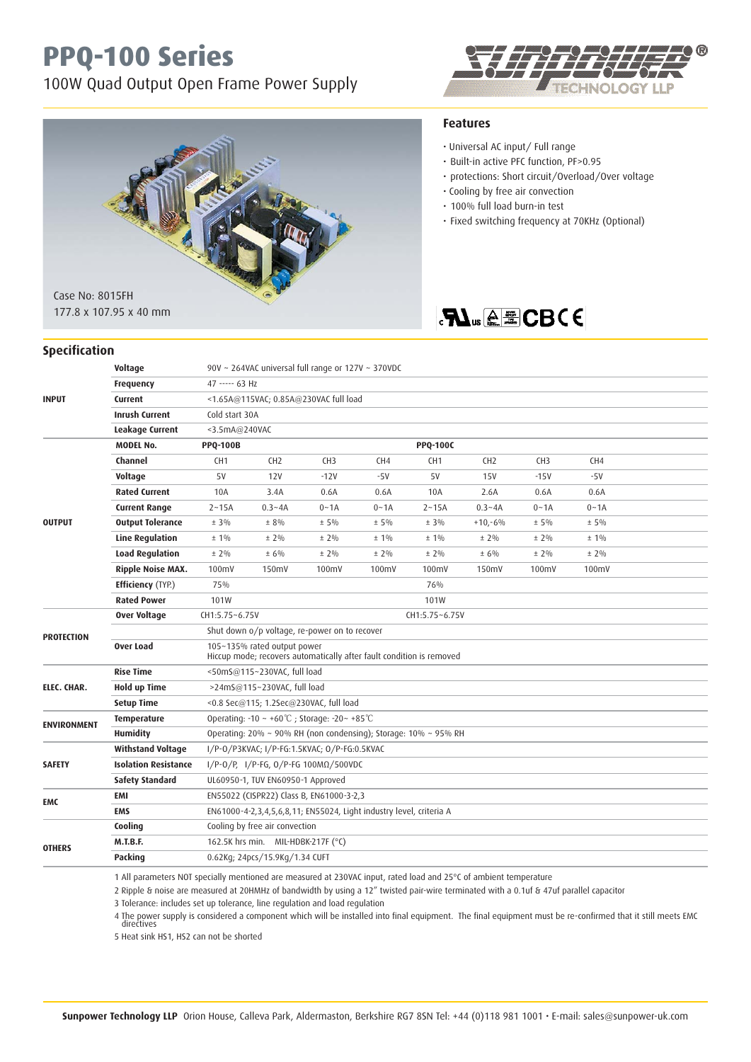## **PPQ-100 Series**

100W Quad Output Open Frame Power Supply





• Cooling by free air convection • 100% full load burn-in test

• Universal AC input/ Full range • Built-in active PFC function, PF>0.95

**Features**

• Fixed switching frequency at 70KHz (Optional)

• protections: Short circuit/Overload/Over voltage

**FLUS A E CBCE** 

#### **Specification**

|                             | Voltage                     | 90V ~ 264VAC universal full range or 127V ~ 370VDC                                                  |                                    |                 |          |                 |                 |                 |          |  |  |
|-----------------------------|-----------------------------|-----------------------------------------------------------------------------------------------------|------------------------------------|-----------------|----------|-----------------|-----------------|-----------------|----------|--|--|
|                             | <b>Frequency</b>            | 47 ----- 63 Hz                                                                                      |                                    |                 |          |                 |                 |                 |          |  |  |
| <b>INPUT</b>                | <b>Current</b>              | <1.65A@115VAC; 0.85A@230VAC full load                                                               |                                    |                 |          |                 |                 |                 |          |  |  |
|                             | <b>Inrush Current</b>       | Cold start 30A                                                                                      |                                    |                 |          |                 |                 |                 |          |  |  |
|                             | Leakage Current             | $3.5mA@240$ VAC                                                                                     |                                    |                 |          |                 |                 |                 |          |  |  |
|                             | <b>MODEL No.</b>            | <b>PPQ-100C</b><br><b>PPQ-100B</b>                                                                  |                                    |                 |          |                 |                 |                 |          |  |  |
|                             | Channel                     | CH <sub>1</sub>                                                                                     | CH <sub>2</sub>                    | CH <sub>3</sub> | CH4      | CH <sub>1</sub> | CH <sub>2</sub> | CH <sub>3</sub> | CH4      |  |  |
|                             | Voltage                     | 5V                                                                                                  | 12V                                | $-12V$          | $-5V$    | 5V              | <b>15V</b>      | $-15V$          | $-5V$    |  |  |
|                             | <b>Rated Current</b>        | 10A                                                                                                 | 3.4A                               | 0.6A            | 0.6A     | 10A             | 2.6A            | 0.6A            | 0.6A     |  |  |
|                             | <b>Current Range</b>        | $2 - 15A$                                                                                           | $0.3 - 4A$                         | $0 - 1A$        | $0 - 1A$ | $2 - 15A$       | $0.3 - 4A$      | $0 - 1A$        | $0 - 1A$ |  |  |
| <b>OUTPUT</b>               | <b>Output Tolerance</b>     | $± 3\%$                                                                                             | $± 8\%$                            | $± 5\%$         | $± 5\%$  | $± 3\%$         | $+10,-6%$       | $± 5\%$         | $± 5\%$  |  |  |
|                             | <b>Line Regulation</b>      | $± 1\%$                                                                                             | $± 2\%$                            | $± 2\%$         | $± 1\%$  | $± 1\%$         | $± 2\%$         | $± 2\%$         | $± 1\%$  |  |  |
|                             | <b>Load Regulation</b>      | $± 2\%$                                                                                             | ± 6%                               | $± 2\%$         | $± 2\%$  | $± 2\%$         | ± 6%            | $± 2\%$         | $± 2\%$  |  |  |
|                             | <b>Ripple Noise MAX.</b>    | 100mV                                                                                               | 150mV                              | 100mV           | 100mV    | 100mV           | 150mV           | 100mV           | 100mV    |  |  |
|                             | <b>Efficiency</b> (TYP.)    | 75%<br>76%                                                                                          |                                    |                 |          |                 |                 |                 |          |  |  |
|                             | <b>Rated Power</b>          | 101W<br>101W                                                                                        |                                    |                 |          |                 |                 |                 |          |  |  |
| <b>PROTECTION</b>           | <b>Over Voltage</b>         | CH1:5.75~6.75V<br>CH1:5.75~6.75V                                                                    |                                    |                 |          |                 |                 |                 |          |  |  |
|                             |                             | Shut down o/p voltage, re-power on to recover                                                       |                                    |                 |          |                 |                 |                 |          |  |  |
|                             | Over Load                   | 105~135% rated output power<br>Hiccup mode; recovers automatically after fault condition is removed |                                    |                 |          |                 |                 |                 |          |  |  |
| ELEC. CHAR.                 | <b>Rise Time</b>            | <50mS@115~230VAC, full load                                                                         |                                    |                 |          |                 |                 |                 |          |  |  |
|                             | <b>Hold up Time</b>         | >24mS@115~230VAC, full load                                                                         |                                    |                 |          |                 |                 |                 |          |  |  |
|                             | <b>Setup Time</b>           | <0.8 Sec@115; 1.2Sec@230VAC, full load                                                              |                                    |                 |          |                 |                 |                 |          |  |  |
| <b>ENVIRONMENT</b>          | Temperature                 | Operating: $-10 \sim +60^{\circ}$ C; Storage: $-20 \sim +85^{\circ}$ C                              |                                    |                 |          |                 |                 |                 |          |  |  |
|                             | <b>Humidity</b>             | Operating: 20% ~ 90% RH (non condensing); Storage: 10% ~ 95% RH                                     |                                    |                 |          |                 |                 |                 |          |  |  |
|                             | <b>Withstand Voltage</b>    | I/P-0/P3KVAC; I/P-FG:1.5KVAC; 0/P-FG:0.5KVAC                                                        |                                    |                 |          |                 |                 |                 |          |  |  |
| <b>SAFETY</b>               | <b>Isolation Resistance</b> | I/P-0/P, I/P-FG, 0/P-FG 100ΜΩ/500VDC                                                                |                                    |                 |          |                 |                 |                 |          |  |  |
|                             | <b>Safety Standard</b>      | UL60950-1, TUV EN60950-1 Approved                                                                   |                                    |                 |          |                 |                 |                 |          |  |  |
| <b>EMC</b><br><b>OTHERS</b> | <b>EMI</b>                  | EN55022 (CISPR22) Class B, EN61000-3-2,3                                                            |                                    |                 |          |                 |                 |                 |          |  |  |
|                             | <b>EMS</b>                  | EN61000-4-2,3,4,5,6,8,11; EN55024, Light industry level, criteria A                                 |                                    |                 |          |                 |                 |                 |          |  |  |
|                             | Cooling                     | Cooling by free air convection                                                                      |                                    |                 |          |                 |                 |                 |          |  |  |
|                             | <b>M.T.B.F.</b>             |                                                                                                     | 162.5K hrs min. MIL-HDBK-217F (°C) |                 |          |                 |                 |                 |          |  |  |
|                             | Packing                     |                                                                                                     | 0.62Kg; 24pcs/15.9Kg/1.34 CUFT     |                 |          |                 |                 |                 |          |  |  |
|                             |                             |                                                                                                     |                                    |                 |          |                 |                 |                 |          |  |  |

1 All parameters NOT specially mentioned are measured at 230VAC input, rated load and 25°C of ambient temperature

2 Ripple & noise are measured at 20HMHz of bandwidth by using a 12" twisted pair-wire terminated with a 0.1uf & 47uf parallel capacitor

3 Tolerance: includes set up tolerance, line regulation and load regulation

4 The power supply is considered a component which will be installed into final equipment. The final equipment must be re-confirmed that it still meets EMC directives

5 Heat sink HS1, HS2 can not be shorted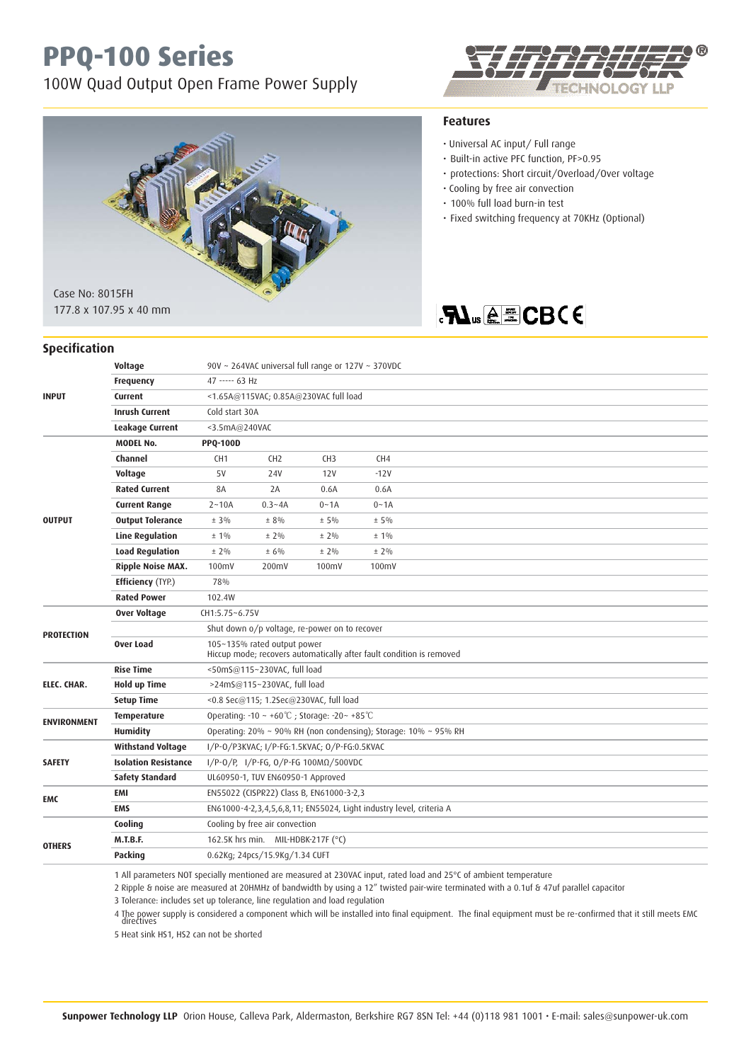## **PPQ-100 Series**

100W Quad Output Open Frame Power Supply





#### **Specification**

### **Features**

- Universal AC input/ Full range
- Built-in active PFC function, PF>0.95
- protections: Short circuit/Overload/Over voltage
- Cooling by free air convection
- 100% full load burn-in test
- Fixed switching frequency at 70KHz (Optional)

### **RI**<sub>us</sub>@ECBCE

| <b>INPUT</b>       | Voltage                     | 90V ~ 264VAC universal full range or 127V ~ 370VDC                                                  |                                |                 |          |  |  |  |  |  |
|--------------------|-----------------------------|-----------------------------------------------------------------------------------------------------|--------------------------------|-----------------|----------|--|--|--|--|--|
|                    | <b>Frequency</b>            | 47 ----- 63 Hz                                                                                      |                                |                 |          |  |  |  |  |  |
|                    | Current                     | <1.65A@115VAC; 0.85A@230VAC full load                                                               |                                |                 |          |  |  |  |  |  |
|                    | <b>Inrush Current</b>       | Cold start 30A                                                                                      |                                |                 |          |  |  |  |  |  |
|                    | Leakage Current             | <3.5mA@240VAC                                                                                       |                                |                 |          |  |  |  |  |  |
| <b>OUTPUT</b>      | <b>MODEL No.</b>            | <b>PPQ-100D</b>                                                                                     |                                |                 |          |  |  |  |  |  |
|                    | Channel                     | CH <sub>1</sub>                                                                                     | CH <sub>2</sub>                | CH <sub>3</sub> | CH4      |  |  |  |  |  |
|                    | Voltage                     | 5V                                                                                                  | 24V                            | 12V             | $-12V$   |  |  |  |  |  |
|                    | <b>Rated Current</b>        | 8A                                                                                                  | 2A                             | 0.6A            | 0.6A     |  |  |  |  |  |
|                    | <b>Current Range</b>        | $2 - 10A$                                                                                           | $0.3 - 4A$                     | $0 - 1A$        | $0 - 1A$ |  |  |  |  |  |
|                    | <b>Output Tolerance</b>     | $± 3\%$                                                                                             | ± 8%                           | $± 5\%$         | $± 5\%$  |  |  |  |  |  |
|                    | <b>Line Regulation</b>      | $± 1\%$                                                                                             | $± 2\%$                        | $± 2\%$         | $± 1\%$  |  |  |  |  |  |
|                    | <b>Load Regulation</b>      | $± 2\%$                                                                                             | ± 6%                           | $± 2\%$         | $± 2\%$  |  |  |  |  |  |
|                    | <b>Ripple Noise MAX.</b>    | 100mV                                                                                               | 200mV                          | 100mV           | 100mV    |  |  |  |  |  |
|                    | <b>Efficiency</b> (TYP.)    | 78%                                                                                                 |                                |                 |          |  |  |  |  |  |
|                    | <b>Rated Power</b>          | 102.4W                                                                                              |                                |                 |          |  |  |  |  |  |
| <b>PROTECTION</b>  | <b>Over Voltage</b>         | CH1:5.75~6.75V                                                                                      |                                |                 |          |  |  |  |  |  |
|                    |                             | Shut down o/p voltage, re-power on to recover                                                       |                                |                 |          |  |  |  |  |  |
|                    | Over Load                   | 105~135% rated output power<br>Hiccup mode; recovers automatically after fault condition is removed |                                |                 |          |  |  |  |  |  |
| ELEC. CHAR.        | <b>Rise Time</b>            | <50mS@115~230VAC, full load                                                                         |                                |                 |          |  |  |  |  |  |
|                    | <b>Hold up Time</b>         | >24mS@115~230VAC, full load                                                                         |                                |                 |          |  |  |  |  |  |
|                    | <b>Setup Time</b>           | <0.8 Sec@115; 1.2Sec@230VAC, full load                                                              |                                |                 |          |  |  |  |  |  |
| <b>ENVIRONMENT</b> | <b>Temperature</b>          | Operating: -10 ~ +60°C; Storage: -20~ +85°C                                                         |                                |                 |          |  |  |  |  |  |
|                    | <b>Humidity</b>             | Operating: 20% ~ 90% RH (non condensing); Storage: 10% ~ 95% RH                                     |                                |                 |          |  |  |  |  |  |
| <b>SAFETY</b>      | <b>Withstand Voltage</b>    | I/P-0/P3KVAC; I/P-FG:1.5KVAC; 0/P-FG:0.5KVAC                                                        |                                |                 |          |  |  |  |  |  |
|                    | <b>Isolation Resistance</b> | I/P-0/P, I/P-FG, 0/P-FG 100ΜΩ/500VDC                                                                |                                |                 |          |  |  |  |  |  |
|                    | <b>Safety Standard</b>      | UL60950-1, TUV EN60950-1 Approved                                                                   |                                |                 |          |  |  |  |  |  |
| EMC                | <b>EMI</b>                  | EN55022 (CISPR22) Class B, EN61000-3-2,3                                                            |                                |                 |          |  |  |  |  |  |
|                    | <b>EMS</b>                  | EN61000-4-2,3,4,5,6,8,11; EN55024, Light industry level, criteria A                                 |                                |                 |          |  |  |  |  |  |
|                    | Cooling                     | Cooling by free air convection                                                                      |                                |                 |          |  |  |  |  |  |
| <b>OTHERS</b>      | <b>M.T.B.F.</b>             | 162.5K hrs min. MIL-HDBK-217F (°C)                                                                  |                                |                 |          |  |  |  |  |  |
|                    | Packing                     |                                                                                                     | 0.62Kg; 24pcs/15.9Kg/1.34 CUFT |                 |          |  |  |  |  |  |
|                    |                             |                                                                                                     |                                |                 |          |  |  |  |  |  |

1 All parameters NOT specially mentioned are measured at 230VAC input, rated load and 25°C of ambient temperature

2 Ripple & noise are measured at 20HMHz of bandwidth by using a 12" twisted pair-wire terminated with a 0.1uf & 47uf parallel capacitor

3 Tolerance: includes set up tolerance, line regulation and load regulation

4 The power supply is considered a component which will be installed into final equipment. The final equipment must be re-confirmed that it still meets EMC directives

5 Heat sink HS1, HS2 can not be shorted